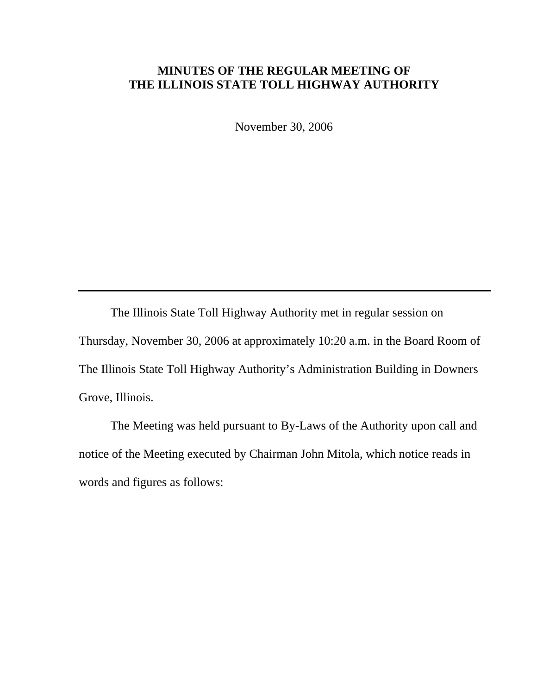## **MINUTES OF THE REGULAR MEETING OF THE ILLINOIS STATE TOLL HIGHWAY AUTHORITY**

November 30, 2006

 The Illinois State Toll Highway Authority met in regular session on Thursday, November 30, 2006 at approximately 10:20 a.m. in the Board Room of The Illinois State Toll Highway Authority's Administration Building in Downers Grove, Illinois.

 The Meeting was held pursuant to By-Laws of the Authority upon call and notice of the Meeting executed by Chairman John Mitola, which notice reads in words and figures as follows: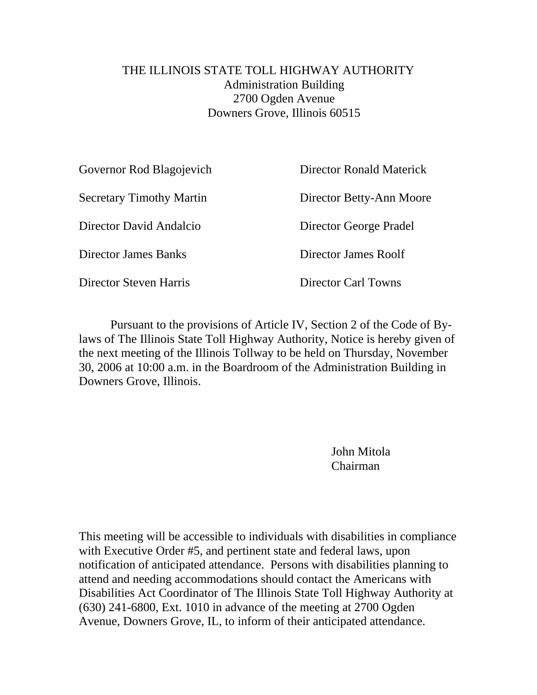## THE ILLINOIS STATE TOLL HIGHWAY AUTHORITY Administration Building 2700 Ogden Avenue Downers Grove, Illinois 60515

| Governor Rod Blagojevich        | Director Ronald Materick |
|---------------------------------|--------------------------|
| <b>Secretary Timothy Martin</b> | Director Betty-Ann Moore |
| Director David Andalcio         | Director George Pradel   |
| <b>Director James Banks</b>     | Director James Roolf     |
| Director Steven Harris          | Director Carl Towns      |
|                                 |                          |

Pursuant to the provisions of Article IV, Section 2 of the Code of Bylaws of The Illinois State Toll Highway Authority, Notice is hereby given of the next meeting of the Illinois Tollway to be held on Thursday, November 30, 2006 at 10:00 a.m. in the Boardroom of the Administration Building in Downers Grove, Illinois.

> John Mitola Chairman

This meeting will be accessible to individuals with disabilities in compliance with Executive Order #5, and pertinent state and federal laws, upon notification of anticipated attendance. Persons with disabilities planning to attend and needing accommodations should contact the Americans with Disabilities Act Coordinator of The Illinois State Toll Highway Authority at (630) 241-6800, Ext. 1010 in advance of the meeting at 2700 Ogden Avenue, Downers Grove, IL, to inform of their anticipated attendance.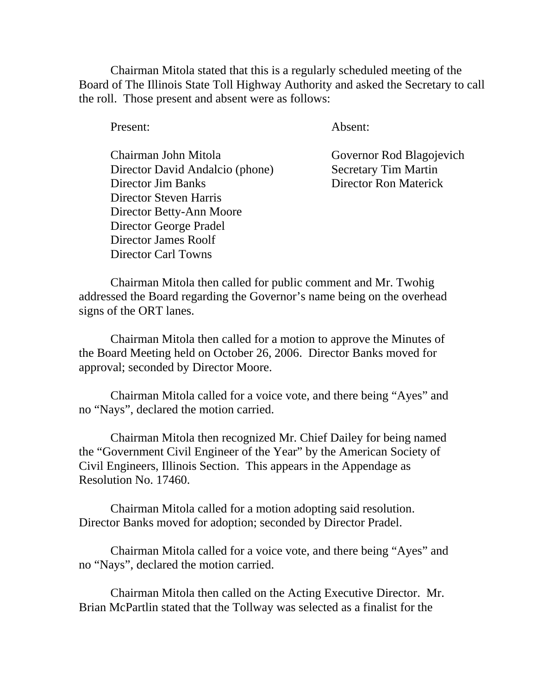Chairman Mitola stated that this is a regularly scheduled meeting of the Board of The Illinois State Toll Highway Authority and asked the Secretary to call the roll. Those present and absent were as follows:

Present: Absent:

 Chairman John Mitola Governor Rod Blagojevich Director David Andalcio (phone) Secretary Tim Martin Director Jim Banks Director Ron Materick Director Steven Harris Director Betty-Ann Moore Director George Pradel Director James Roolf Director Carl Towns

Chairman Mitola then called for public comment and Mr. Twohig addressed the Board regarding the Governor's name being on the overhead signs of the ORT lanes.

Chairman Mitola then called for a motion to approve the Minutes of the Board Meeting held on October 26, 2006. Director Banks moved for approval; seconded by Director Moore.

Chairman Mitola called for a voice vote, and there being "Ayes" and no "Nays", declared the motion carried.

Chairman Mitola then recognized Mr. Chief Dailey for being named the "Government Civil Engineer of the Year" by the American Society of Civil Engineers, Illinois Section. This appears in the Appendage as Resolution No. 17460.

Chairman Mitola called for a motion adopting said resolution. Director Banks moved for adoption; seconded by Director Pradel.

Chairman Mitola called for a voice vote, and there being "Ayes" and no "Nays", declared the motion carried.

Chairman Mitola then called on the Acting Executive Director. Mr. Brian McPartlin stated that the Tollway was selected as a finalist for the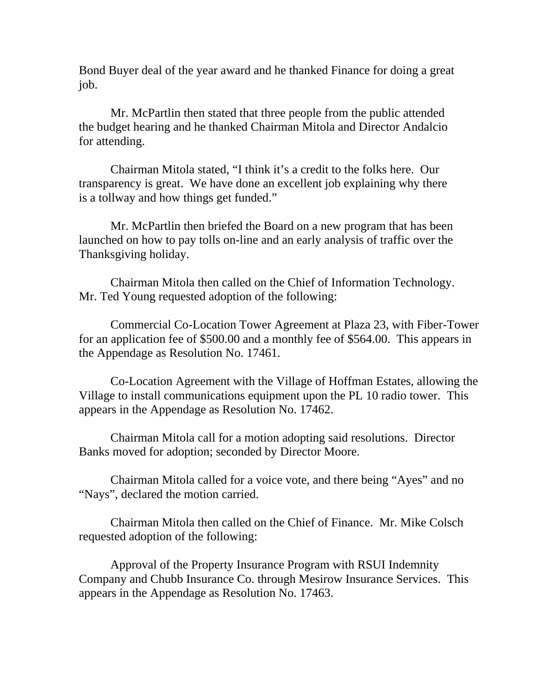Bond Buyer deal of the year award and he thanked Finance for doing a great job.

Mr. McPartlin then stated that three people from the public attended the budget hearing and he thanked Chairman Mitola and Director Andalcio for attending.

Chairman Mitola stated, "I think it's a credit to the folks here. Our transparency is great. We have done an excellent job explaining why there is a tollway and how things get funded."

Mr. McPartlin then briefed the Board on a new program that has been launched on how to pay tolls on-line and an early analysis of traffic over the Thanksgiving holiday.

Chairman Mitola then called on the Chief of Information Technology. Mr. Ted Young requested adoption of the following:

Commercial Co-Location Tower Agreement at Plaza 23, with Fiber-Tower for an application fee of \$500.00 and a monthly fee of \$564.00. This appears in the Appendage as Resolution No. 17461.

Co-Location Agreement with the Village of Hoffman Estates, allowing the Village to install communications equipment upon the PL 10 radio tower. This appears in the Appendage as Resolution No. 17462.

Chairman Mitola call for a motion adopting said resolutions. Director Banks moved for adoption; seconded by Director Moore.

Chairman Mitola called for a voice vote, and there being "Ayes" and no "Nays", declared the motion carried.

Chairman Mitola then called on the Chief of Finance. Mr. Mike Colsch requested adoption of the following:

Approval of the Property Insurance Program with RSUI Indemnity Company and Chubb Insurance Co. through Mesirow Insurance Services. This appears in the Appendage as Resolution No. 17463.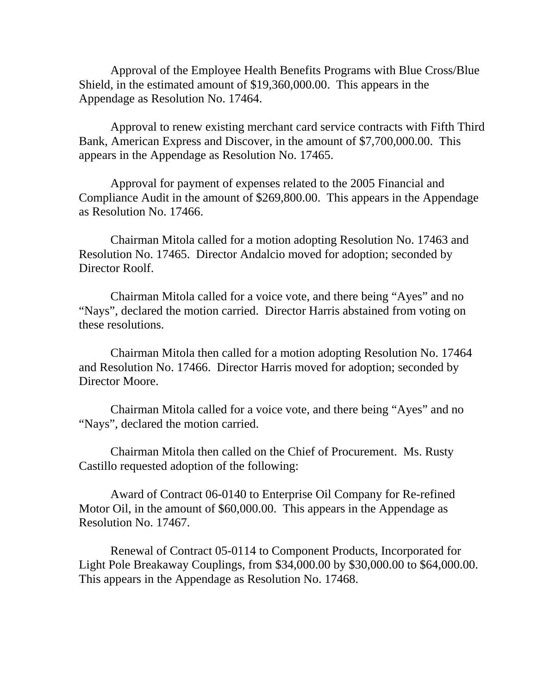Approval of the Employee Health Benefits Programs with Blue Cross/Blue Shield, in the estimated amount of \$19,360,000.00. This appears in the Appendage as Resolution No. 17464.

Approval to renew existing merchant card service contracts with Fifth Third Bank, American Express and Discover, in the amount of \$7,700,000.00. This appears in the Appendage as Resolution No. 17465.

Approval for payment of expenses related to the 2005 Financial and Compliance Audit in the amount of \$269,800.00. This appears in the Appendage as Resolution No. 17466.

Chairman Mitola called for a motion adopting Resolution No. 17463 and Resolution No. 17465. Director Andalcio moved for adoption; seconded by Director Roolf.

Chairman Mitola called for a voice vote, and there being "Ayes" and no "Nays", declared the motion carried. Director Harris abstained from voting on these resolutions.

Chairman Mitola then called for a motion adopting Resolution No. 17464 and Resolution No. 17466. Director Harris moved for adoption; seconded by Director Moore.

Chairman Mitola called for a voice vote, and there being "Ayes" and no "Nays", declared the motion carried.

Chairman Mitola then called on the Chief of Procurement. Ms. Rusty Castillo requested adoption of the following:

Award of Contract 06-0140 to Enterprise Oil Company for Re-refined Motor Oil, in the amount of \$60,000.00. This appears in the Appendage as Resolution No. 17467.

Renewal of Contract 05-0114 to Component Products, Incorporated for Light Pole Breakaway Couplings, from \$34,000.00 by \$30,000.00 to \$64,000.00. This appears in the Appendage as Resolution No. 17468.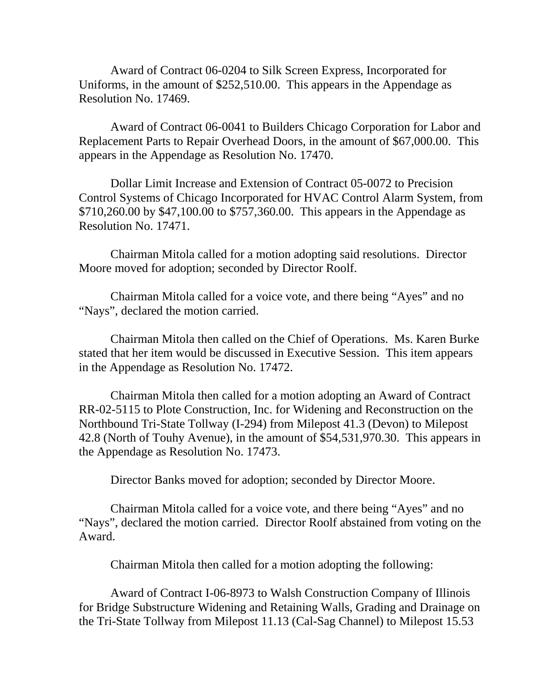Award of Contract 06-0204 to Silk Screen Express, Incorporated for Uniforms, in the amount of \$252,510.00. This appears in the Appendage as Resolution No. 17469.

Award of Contract 06-0041 to Builders Chicago Corporation for Labor and Replacement Parts to Repair Overhead Doors, in the amount of \$67,000.00. This appears in the Appendage as Resolution No. 17470.

Dollar Limit Increase and Extension of Contract 05-0072 to Precision Control Systems of Chicago Incorporated for HVAC Control Alarm System, from \$710,260.00 by \$47,100.00 to \$757,360.00. This appears in the Appendage as Resolution No. 17471.

Chairman Mitola called for a motion adopting said resolutions. Director Moore moved for adoption; seconded by Director Roolf.

Chairman Mitola called for a voice vote, and there being "Ayes" and no "Nays", declared the motion carried.

Chairman Mitola then called on the Chief of Operations. Ms. Karen Burke stated that her item would be discussed in Executive Session. This item appears in the Appendage as Resolution No. 17472.

Chairman Mitola then called for a motion adopting an Award of Contract RR-02-5115 to Plote Construction, Inc. for Widening and Reconstruction on the Northbound Tri-State Tollway (I-294) from Milepost 41.3 (Devon) to Milepost 42.8 (North of Touhy Avenue), in the amount of \$54,531,970.30. This appears in the Appendage as Resolution No. 17473.

Director Banks moved for adoption; seconded by Director Moore.

Chairman Mitola called for a voice vote, and there being "Ayes" and no "Nays", declared the motion carried. Director Roolf abstained from voting on the Award.

Chairman Mitola then called for a motion adopting the following:

Award of Contract I-06-8973 to Walsh Construction Company of Illinois for Bridge Substructure Widening and Retaining Walls, Grading and Drainage on the Tri-State Tollway from Milepost 11.13 (Cal-Sag Channel) to Milepost 15.53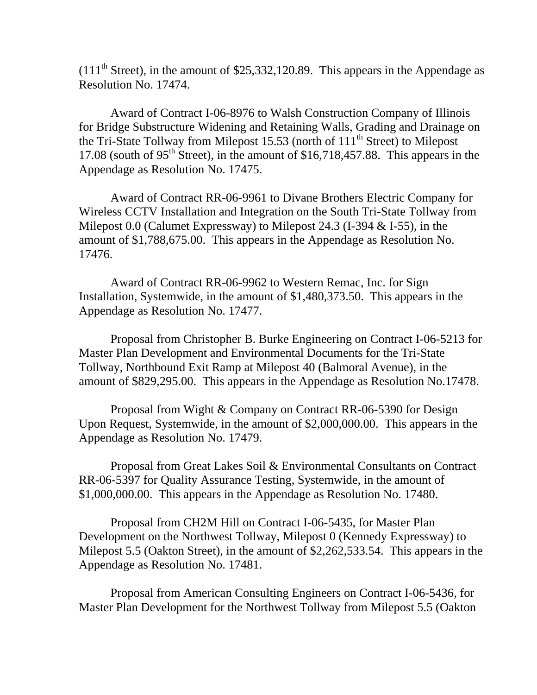$(111<sup>th</sup> Street)$ , in the amount of \$25,332,120.89. This appears in the Appendage as Resolution No. 17474.

Award of Contract I-06-8976 to Walsh Construction Company of Illinois for Bridge Substructure Widening and Retaining Walls, Grading and Drainage on the Tri-State Tollway from Milepost 15.53 (north of  $111<sup>th</sup>$  Street) to Milepost 17.08 (south of  $95<sup>th</sup>$  Street), in the amount of \$16,718,457.88. This appears in the Appendage as Resolution No. 17475.

Award of Contract RR-06-9961 to Divane Brothers Electric Company for Wireless CCTV Installation and Integration on the South Tri-State Tollway from Milepost 0.0 (Calumet Expressway) to Milepost 24.3 (I-394 & I-55), in the amount of \$1,788,675.00. This appears in the Appendage as Resolution No. 17476.

Award of Contract RR-06-9962 to Western Remac, Inc. for Sign Installation, Systemwide, in the amount of \$1,480,373.50. This appears in the Appendage as Resolution No. 17477.

Proposal from Christopher B. Burke Engineering on Contract I-06-5213 for Master Plan Development and Environmental Documents for the Tri-State Tollway, Northbound Exit Ramp at Milepost 40 (Balmoral Avenue), in the amount of \$829,295.00. This appears in the Appendage as Resolution No.17478.

Proposal from Wight & Company on Contract RR-06-5390 for Design Upon Request, Systemwide, in the amount of \$2,000,000.00. This appears in the Appendage as Resolution No. 17479.

Proposal from Great Lakes Soil & Environmental Consultants on Contract RR-06-5397 for Quality Assurance Testing, Systemwide, in the amount of \$1,000,000.00. This appears in the Appendage as Resolution No. 17480.

Proposal from CH2M Hill on Contract I-06-5435, for Master Plan Development on the Northwest Tollway, Milepost 0 (Kennedy Expressway) to Milepost 5.5 (Oakton Street), in the amount of \$2,262,533.54. This appears in the Appendage as Resolution No. 17481.

Proposal from American Consulting Engineers on Contract I-06-5436, for Master Plan Development for the Northwest Tollway from Milepost 5.5 (Oakton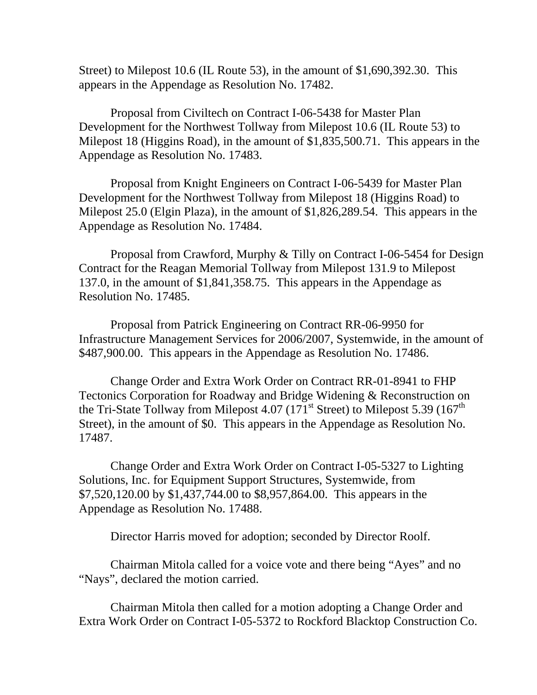Street) to Milepost 10.6 (IL Route 53), in the amount of \$1,690,392.30. This appears in the Appendage as Resolution No. 17482.

Proposal from Civiltech on Contract I-06-5438 for Master Plan Development for the Northwest Tollway from Milepost 10.6 (IL Route 53) to Milepost 18 (Higgins Road), in the amount of \$1,835,500.71. This appears in the Appendage as Resolution No. 17483.

Proposal from Knight Engineers on Contract I-06-5439 for Master Plan Development for the Northwest Tollway from Milepost 18 (Higgins Road) to Milepost 25.0 (Elgin Plaza), in the amount of \$1,826,289.54. This appears in the Appendage as Resolution No. 17484.

Proposal from Crawford, Murphy & Tilly on Contract I-06-5454 for Design Contract for the Reagan Memorial Tollway from Milepost 131.9 to Milepost 137.0, in the amount of \$1,841,358.75. This appears in the Appendage as Resolution No. 17485.

Proposal from Patrick Engineering on Contract RR-06-9950 for Infrastructure Management Services for 2006/2007, Systemwide, in the amount of \$487,900.00. This appears in the Appendage as Resolution No. 17486.

Change Order and Extra Work Order on Contract RR-01-8941 to FHP Tectonics Corporation for Roadway and Bridge Widening & Reconstruction on the Tri-State Tollway from Milepost 4.07 (171<sup>st</sup> Street) to Milepost 5.39 (167<sup>th</sup>) Street), in the amount of \$0. This appears in the Appendage as Resolution No. 17487.

Change Order and Extra Work Order on Contract I-05-5327 to Lighting Solutions, Inc. for Equipment Support Structures, Systemwide, from \$7,520,120.00 by \$1,437,744.00 to \$8,957,864.00. This appears in the Appendage as Resolution No. 17488.

Director Harris moved for adoption; seconded by Director Roolf.

Chairman Mitola called for a voice vote and there being "Ayes" and no "Nays", declared the motion carried.

Chairman Mitola then called for a motion adopting a Change Order and Extra Work Order on Contract I-05-5372 to Rockford Blacktop Construction Co.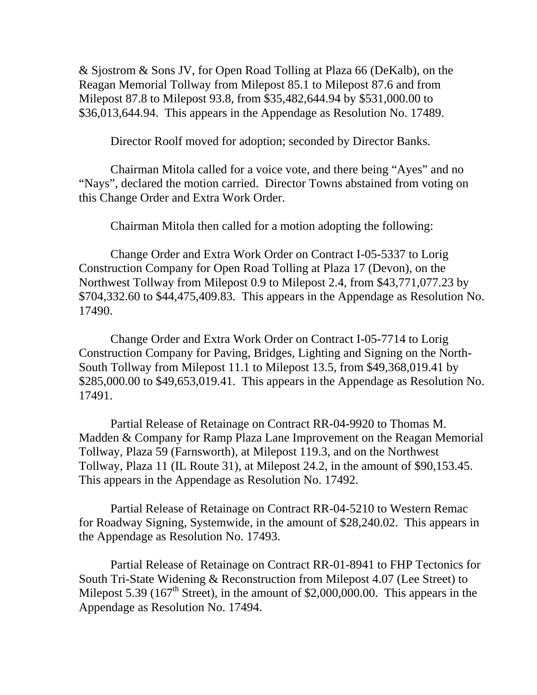& Sjostrom & Sons JV, for Open Road Tolling at Plaza 66 (DeKalb), on the Reagan Memorial Tollway from Milepost 85.1 to Milepost 87.6 and from Milepost 87.8 to Milepost 93.8, from \$35,482,644.94 by \$531,000.00 to \$36,013,644.94. This appears in the Appendage as Resolution No. 17489.

Director Roolf moved for adoption; seconded by Director Banks.

Chairman Mitola called for a voice vote, and there being "Ayes" and no "Nays", declared the motion carried. Director Towns abstained from voting on this Change Order and Extra Work Order.

Chairman Mitola then called for a motion adopting the following:

Change Order and Extra Work Order on Contract I-05-5337 to Lorig Construction Company for Open Road Tolling at Plaza 17 (Devon), on the Northwest Tollway from Milepost 0.9 to Milepost 2.4, from \$43,771,077.23 by \$704,332.60 to \$44,475,409.83. This appears in the Appendage as Resolution No. 17490.

Change Order and Extra Work Order on Contract I-05-7714 to Lorig Construction Company for Paving, Bridges, Lighting and Signing on the North-South Tollway from Milepost 11.1 to Milepost 13.5, from \$49,368,019.41 by \$285,000.00 to \$49,653,019.41. This appears in the Appendage as Resolution No. 17491.

Partial Release of Retainage on Contract RR-04-9920 to Thomas M. Madden & Company for Ramp Plaza Lane Improvement on the Reagan Memorial Tollway, Plaza 59 (Farnsworth), at Milepost 119.3, and on the Northwest Tollway, Plaza 11 (IL Route 31), at Milepost 24.2, in the amount of \$90,153.45. This appears in the Appendage as Resolution No. 17492.

Partial Release of Retainage on Contract RR-04-5210 to Western Remac for Roadway Signing, Systemwide, in the amount of \$28,240.02. This appears in the Appendage as Resolution No. 17493.

Partial Release of Retainage on Contract RR-01-8941 to FHP Tectonics for South Tri-State Widening & Reconstruction from Milepost 4.07 (Lee Street) to Milepost 5.39 (167<sup>th</sup> Street), in the amount of \$2,000,000.00. This appears in the Appendage as Resolution No. 17494.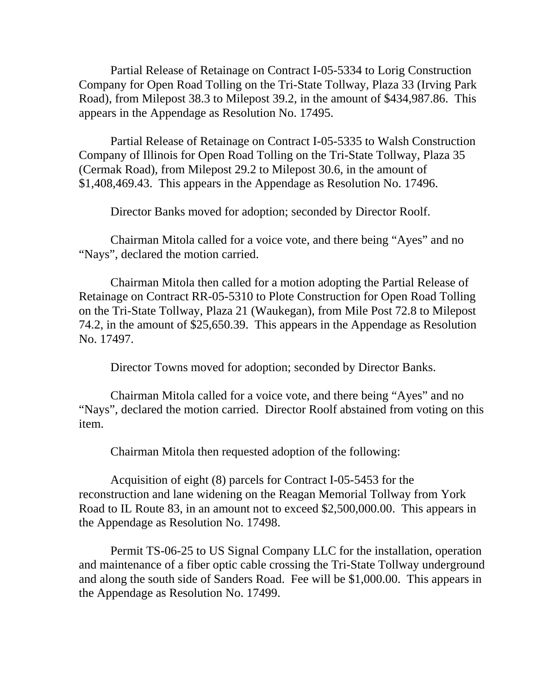Partial Release of Retainage on Contract I-05-5334 to Lorig Construction Company for Open Road Tolling on the Tri-State Tollway, Plaza 33 (Irving Park Road), from Milepost 38.3 to Milepost 39.2, in the amount of \$434,987.86. This appears in the Appendage as Resolution No. 17495.

Partial Release of Retainage on Contract I-05-5335 to Walsh Construction Company of Illinois for Open Road Tolling on the Tri-State Tollway, Plaza 35 (Cermak Road), from Milepost 29.2 to Milepost 30.6, in the amount of \$1,408,469.43. This appears in the Appendage as Resolution No. 17496.

Director Banks moved for adoption; seconded by Director Roolf.

Chairman Mitola called for a voice vote, and there being "Ayes" and no "Nays", declared the motion carried.

Chairman Mitola then called for a motion adopting the Partial Release of Retainage on Contract RR-05-5310 to Plote Construction for Open Road Tolling on the Tri-State Tollway, Plaza 21 (Waukegan), from Mile Post 72.8 to Milepost 74.2, in the amount of \$25,650.39. This appears in the Appendage as Resolution No. 17497.

Director Towns moved for adoption; seconded by Director Banks.

Chairman Mitola called for a voice vote, and there being "Ayes" and no "Nays", declared the motion carried. Director Roolf abstained from voting on this item.

Chairman Mitola then requested adoption of the following:

Acquisition of eight (8) parcels for Contract I-05-5453 for the reconstruction and lane widening on the Reagan Memorial Tollway from York Road to IL Route 83, in an amount not to exceed \$2,500,000.00. This appears in the Appendage as Resolution No. 17498.

Permit TS-06-25 to US Signal Company LLC for the installation, operation and maintenance of a fiber optic cable crossing the Tri-State Tollway underground and along the south side of Sanders Road. Fee will be \$1,000.00. This appears in the Appendage as Resolution No. 17499.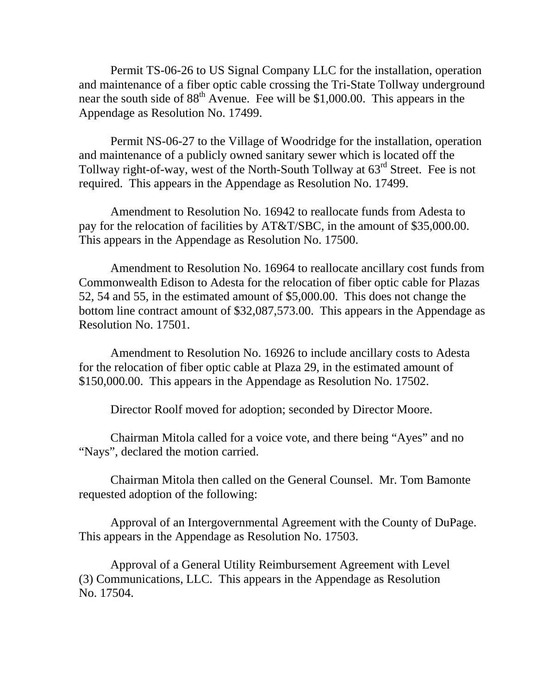Permit TS-06-26 to US Signal Company LLC for the installation, operation and maintenance of a fiber optic cable crossing the Tri-State Tollway underground near the south side of  $88<sup>th</sup>$  Avenue. Fee will be \$1,000.00. This appears in the Appendage as Resolution No. 17499.

Permit NS-06-27 to the Village of Woodridge for the installation, operation and maintenance of a publicly owned sanitary sewer which is located off the Tollway right-of-way, west of the North-South Tollway at  $63<sup>rd</sup>$  Street. Fee is not required. This appears in the Appendage as Resolution No. 17499.

Amendment to Resolution No. 16942 to reallocate funds from Adesta to pay for the relocation of facilities by AT&T/SBC, in the amount of \$35,000.00. This appears in the Appendage as Resolution No. 17500.

Amendment to Resolution No. 16964 to reallocate ancillary cost funds from Commonwealth Edison to Adesta for the relocation of fiber optic cable for Plazas 52, 54 and 55, in the estimated amount of \$5,000.00. This does not change the bottom line contract amount of \$32,087,573.00. This appears in the Appendage as Resolution No. 17501.

Amendment to Resolution No. 16926 to include ancillary costs to Adesta for the relocation of fiber optic cable at Plaza 29, in the estimated amount of \$150,000.00. This appears in the Appendage as Resolution No. 17502.

Director Roolf moved for adoption; seconded by Director Moore.

Chairman Mitola called for a voice vote, and there being "Ayes" and no "Nays", declared the motion carried.

Chairman Mitola then called on the General Counsel. Mr. Tom Bamonte requested adoption of the following:

Approval of an Intergovernmental Agreement with the County of DuPage. This appears in the Appendage as Resolution No. 17503.

Approval of a General Utility Reimbursement Agreement with Level (3) Communications, LLC. This appears in the Appendage as Resolution No. 17504.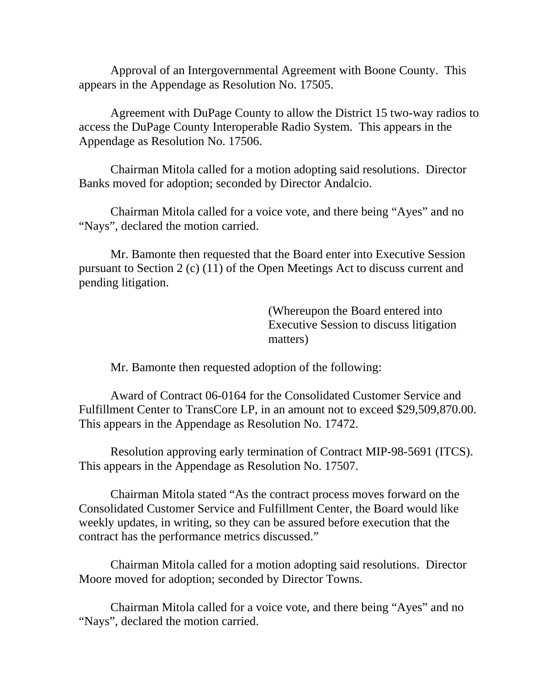Approval of an Intergovernmental Agreement with Boone County. This appears in the Appendage as Resolution No. 17505.

Agreement with DuPage County to allow the District 15 two-way radios to access the DuPage County Interoperable Radio System. This appears in the Appendage as Resolution No. 17506.

Chairman Mitola called for a motion adopting said resolutions. Director Banks moved for adoption; seconded by Director Andalcio.

Chairman Mitola called for a voice vote, and there being "Ayes" and no "Nays", declared the motion carried.

Mr. Bamonte then requested that the Board enter into Executive Session pursuant to Section 2 (c) (11) of the Open Meetings Act to discuss current and pending litigation.

> (Whereupon the Board entered into Executive Session to discuss litigation matters)

Mr. Bamonte then requested adoption of the following:

Award of Contract 06-0164 for the Consolidated Customer Service and Fulfillment Center to TransCore LP, in an amount not to exceed \$29,509,870.00. This appears in the Appendage as Resolution No. 17472.

Resolution approving early termination of Contract MIP-98-5691 (ITCS). This appears in the Appendage as Resolution No. 17507.

Chairman Mitola stated "As the contract process moves forward on the Consolidated Customer Service and Fulfillment Center, the Board would like weekly updates, in writing, so they can be assured before execution that the contract has the performance metrics discussed."

Chairman Mitola called for a motion adopting said resolutions. Director Moore moved for adoption; seconded by Director Towns.

Chairman Mitola called for a voice vote, and there being "Ayes" and no "Nays", declared the motion carried.